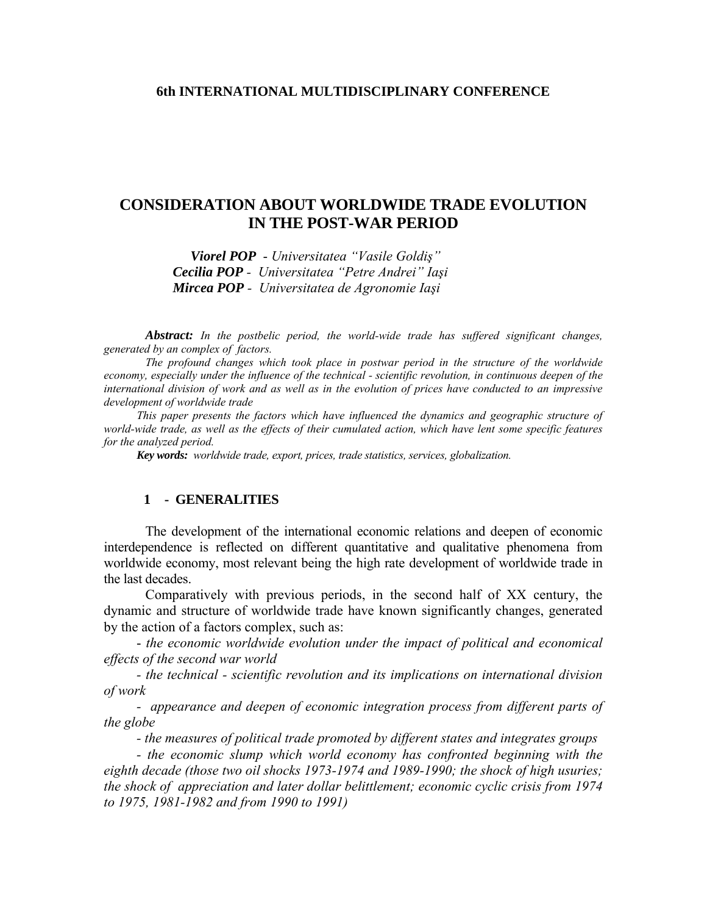### **6th INTERNATIONAL MULTIDISCIPLINARY CONFERENCE**

# **CONSIDERATION ABOUT WORLDWIDE TRADE EVOLUTION IN THE POST-WAR PERIOD**

*Viorel POP*- *Universitatea "Vasile Goldiş" Cecilia POP - Universitatea "Petre Andrei" Iaşi Mircea POP - Universitatea de Agronomie Iaşi*

 *Abstract: In the postbelic period, the world-wide trade has suffered significant changes, generated by an complex of factors.* 

 *The profound changes which took place in postwar period in the structure of the worldwide economy, especially under the influence of the technical - scientific revolution, in continuous deepen of the international division of work and as well as in the evolution of prices have conducted to an impressive development of worldwide trade* 

*This paper presents the factors which have influenced the dynamics and geographic structure of world-wide trade, as well as the effects of their cumulated action, which have lent some specific features for the analyzed period.* 

*Key words: worldwide trade, export, prices, trade statistics, services, globalization.* 

### **1 - GENERALITIES**

 The development of the international economic relations and deepen of economic interdependence is reflected on different quantitative and qualitative phenomena from worldwide economy, most relevant being the high rate development of worldwide trade in the last decades.

 Comparatively with previous periods, in the second half of XX century, the dynamic and structure of worldwide trade have known significantly changes, generated by the action of a factors complex, such as:

- *the economic worldwide evolution under the impact of political and economical effects of the second war world* 

*- the technical - scientific revolution and its implications on international division of work* 

*- appearance and deepen of economic integration process from different parts of the globe* 

*- the measures of political trade promoted by different states and integrates groups* 

*- the economic slump which world economy has confronted beginning with the eighth decade (those two oil shocks 1973-1974 and 1989-1990; the shock of high usuries; the shock of appreciation and later dollar belittlement; economic cyclic crisis from 1974 to 1975, 1981-1982 and from 1990 to 1991)*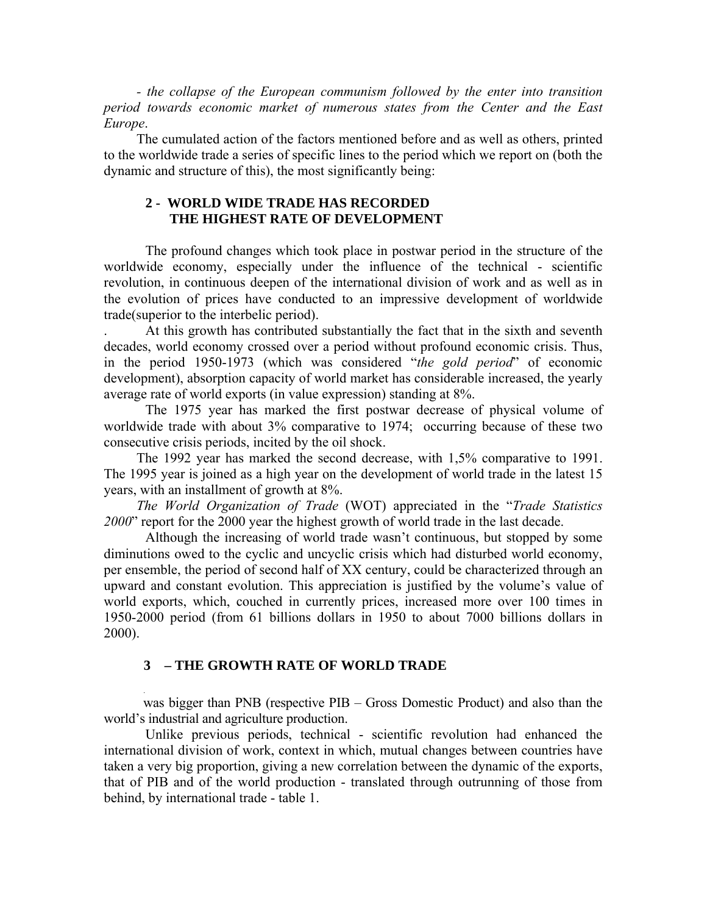*- the collapse of the European communism followed by the enter into transition period towards economic market of numerous states from the Center and the East Europe*.

The cumulated action of the factors mentioned before and as well as others, printed to the worldwide trade a series of specific lines to the period which we report on (both the dynamic and structure of this), the most significantly being:

# **2 - WORLD WIDE TRADE HAS RECORDED THE HIGHEST RATE OF DEVELOPMENT**

The profound changes which took place in postwar period in the structure of the worldwide economy, especially under the influence of the technical - scientific revolution, in continuous deepen of the international division of work and as well as in the evolution of prices have conducted to an impressive development of worldwide trade(superior to the interbelic period).

. At this growth has contributed substantially the fact that in the sixth and seventh decades, world economy crossed over a period without profound economic crisis. Thus, in the period 1950-1973 (which was considered "*the gold period*" of economic development), absorption capacity of world market has considerable increased, the yearly average rate of world exports (in value expression) standing at 8%.

 The 1975 year has marked the first postwar decrease of physical volume of worldwide trade with about 3% comparative to 1974; occurring because of these two consecutive crisis periods, incited by the oil shock.

The 1992 year has marked the second decrease, with 1,5% comparative to 1991. The 1995 year is joined as a high year on the development of world trade in the latest 15 years, with an installment of growth at 8%.

*The World Organization of Trade* (WOT) appreciated in the "*Trade Statistics 2000*" report for the 2000 year the highest growth of world trade in the last decade.

 Although the increasing of world trade wasn't continuous, but stopped by some diminutions owed to the cyclic and uncyclic crisis which had disturbed world economy, per ensemble, the period of second half of XX century, could be characterized through an upward and constant evolution. This appreciation is justified by the volume's value of world exports, which, couched in currently prices, increased more over 100 times in 1950-2000 period (from 61 billions dollars in 1950 to about 7000 billions dollars in 2000).

## **3 – THE GROWTH RATE OF WORLD TRADE**

**.**

 was bigger than PNB (respective PIB – Gross Domestic Product) and also than the world's industrial and agriculture production.

 Unlike previous periods, technical - scientific revolution had enhanced the international division of work, context in which, mutual changes between countries have taken a very big proportion, giving a new correlation between the dynamic of the exports, that of PIB and of the world production - translated through outrunning of those from behind, by international trade - table 1.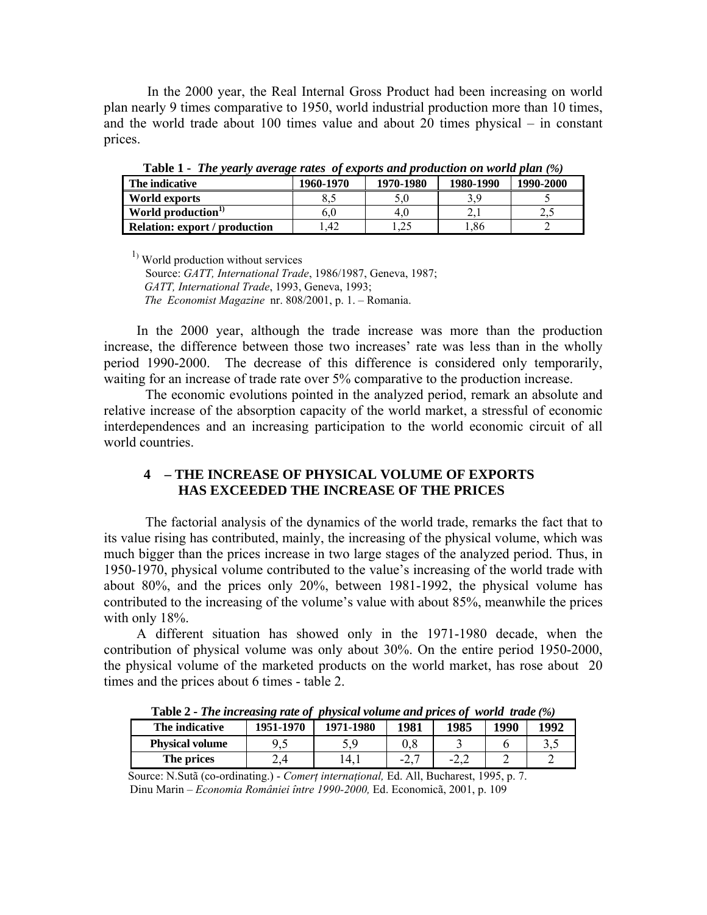In the 2000 year, the Real Internal Gross Product had been increasing on world plan nearly 9 times comparative to 1950, world industrial production more than 10 times, and the world trade about 100 times value and about 20 times physical – in constant prices.

| <b>LADIC 1 - THE VEHITV AVERILE FRIES</b> OF EXPORTS and production on world plan (70) |           |           |           |           |  |  |  |
|----------------------------------------------------------------------------------------|-----------|-----------|-----------|-----------|--|--|--|
| The indicative                                                                         | 1960-1970 | 1970-1980 | 1980-1990 | 1990-2000 |  |  |  |
| World exports                                                                          |           |           |           |           |  |  |  |
| World production <sup>1)</sup>                                                         | 6.0       | 4 O       |           |           |  |  |  |
| <b>Relation: export / production</b>                                                   | .42       |           | .86       |           |  |  |  |

**Table 1 -** *The yearly average rates of exports and production on world plan (%)*

 $<sup>1</sup>$  World production without services</sup>

 Source: *GATT, International Trade*, 1986/1987, Geneva, 1987; *GATT, International Trade*, 1993, Geneva, 1993;  *The Economist Magazine* nr. 808/2001, p. 1. – Romania.

In the 2000 year, although the trade increase was more than the production increase, the difference between those two increases' rate was less than in the wholly period 1990-2000. The decrease of this difference is considered only temporarily, waiting for an increase of trade rate over 5% comparative to the production increase.

 The economic evolutions pointed in the analyzed period, remark an absolute and relative increase of the absorption capacity of the world market, a stressful of economic interdependences and an increasing participation to the world economic circuit of all world countries.

# **4 – THE INCREASE OF PHYSICAL VOLUME OF EXPORTS HAS EXCEEDED THE INCREASE OF THE PRICES**

 The factorial analysis of the dynamics of the world trade, remarks the fact that to its value rising has contributed, mainly, the increasing of the physical volume, which was much bigger than the prices increase in two large stages of the analyzed period. Thus, in 1950-1970, physical volume contributed to the value's increasing of the world trade with about 80%, and the prices only 20%, between 1981-1992, the physical volume has contributed to the increasing of the volume's value with about 85%, meanwhile the prices with only 18%.

A different situation has showed only in the 1971-1980 decade, when the contribution of physical volume was only about 30%. On the entire period 1950-2000, the physical volume of the marketed products on the world market, has rose about 20 times and the prices about 6 times - table 2.

| <b>Table 4 - The increasing rate of physical volume and prices of world trade</b> (70) |           |                       |        |              |      |       |
|----------------------------------------------------------------------------------------|-----------|-----------------------|--------|--------------|------|-------|
| The indicative                                                                         | 1951-1970 | 1971-1980             | 1981   | 1985         | 1990 | 1992  |
| <b>Physical volume</b>                                                                 |           |                       |        |              |      | ے ۔ ب |
| The prices                                                                             | ∠.4       | $\mathcal{A}_{\cdot}$ | $-2.7$ | $-L_{\star}$ |      |       |

**Table 2 -** *The increasing rate of physical volume and prices of world trade (%)*

 Source: N.Sutã (co-ordinating.) - *Comerţ internaţional,* Ed. All, Bucharest, 1995, p. 7. Dinu Marin – *Economia României între 1990-2000,* Ed. Economicã, 2001, p. 109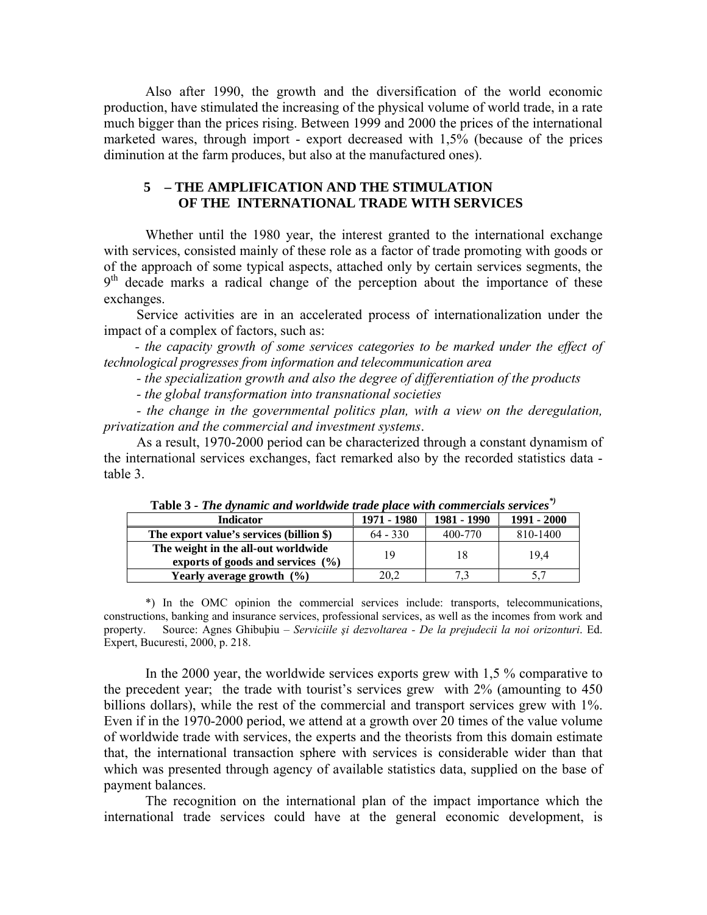Also after 1990, the growth and the diversification of the world economic production, have stimulated the increasing of the physical volume of world trade, in a rate much bigger than the prices rising. Between 1999 and 2000 the prices of the international marketed wares, through import - export decreased with 1,5% (because of the prices diminution at the farm produces, but also at the manufactured ones).

## **5 – THE AMPLIFICATION AND THE STIMULATION OF THE INTERNATIONAL TRADE WITH SERVICES**

 Whether until the 1980 year, the interest granted to the international exchange with services, consisted mainly of these role as a factor of trade promoting with goods or of the approach of some typical aspects, attached only by certain services segments, the  $9<sup>th</sup>$  decade marks a radical change of the perception about the importance of these exchanges.

Service activities are in an accelerated process of internationalization under the impact of a complex of factors, such as:

*- the capacity growth of some services categories to be marked under the effect of technological progresses from information and telecommunication area* 

*- the specialization growth and also the degree of differentiation of the products* 

*- the global transformation into transnational societies* 

*- the change in the governmental politics plan, with a view on the deregulation, privatization and the commercial and investment systems*.

As a result, 1970-2000 period can be characterized through a constant dynamism of the international services exchanges, fact remarked also by the recorded statistics data table 3.

| <b>Table 5 - The avitainte and worldwide trade place with commercials services</b> |             |             |             |  |  |  |  |
|------------------------------------------------------------------------------------|-------------|-------------|-------------|--|--|--|--|
| <b>Indicator</b>                                                                   | 1971 - 1980 | 1981 - 1990 | 1991 - 2000 |  |  |  |  |
| The export value's services (billion \$)                                           | $64 - 330$  | 400-770     | 810-1400    |  |  |  |  |
| The weight in the all-out worldwide                                                | 19          | 18          | 19.4        |  |  |  |  |
| exports of goods and services $(\% )$                                              |             |             |             |  |  |  |  |
| Yearly average growth (%)                                                          | 20,2        |             |             |  |  |  |  |

**Table 3** *- The dynamic and worldwide trade place with commercials services\*)*

\*) In the OMC opinion the commercial services include: transports, telecommunications, constructions, banking and insurance services, professional services, as well as the incomes from work and property. Source: Agnes Ghibuþiu – *Serviciile şi dezvoltarea - De la prejudecii la noi orizonturi*. Ed. Expert, Bucuresti, 2000, p. 218.

 In the 2000 year, the worldwide services exports grew with 1,5 % comparative to the precedent year; the trade with tourist's services grew with 2% (amounting to 450 billions dollars), while the rest of the commercial and transport services grew with 1%. Even if in the 1970-2000 period, we attend at a growth over 20 times of the value volume of worldwide trade with services, the experts and the theorists from this domain estimate that, the international transaction sphere with services is considerable wider than that which was presented through agency of available statistics data, supplied on the base of payment balances.

 The recognition on the international plan of the impact importance which the international trade services could have at the general economic development, is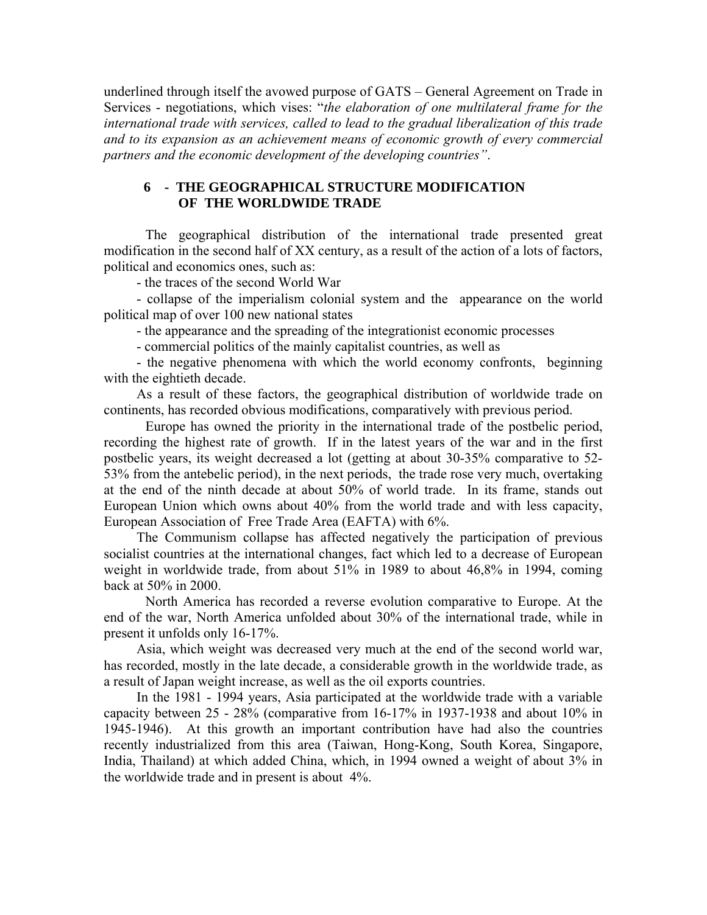underlined through itself the avowed purpose of GATS – General Agreement on Trade in Services - negotiations, which vises: "*the elaboration of one multilateral frame for the international trade with services, called to lead to the gradual liberalization of this trade and to its expansion as an achievement means of economic growth of every commercial partners and the economic development of the developing countries"*.

### **6 - THE GEOGRAPHICAL STRUCTURE MODIFICATION OF THE WORLDWIDE TRADE**

 The geographical distribution of the international trade presented great modification in the second half of XX century, as a result of the action of a lots of factors, political and economics ones, such as:

- the traces of the second World War

- collapse of the imperialism colonial system and the appearance on the world political map of over 100 new national states

- the appearance and the spreading of the integrationist economic processes

- commercial politics of the mainly capitalist countries, as well as

- the negative phenomena with which the world economy confronts, beginning with the eightieth decade.

As a result of these factors, the geographical distribution of worldwide trade on continents, has recorded obvious modifications, comparatively with previous period.

 Europe has owned the priority in the international trade of the postbelic period, recording the highest rate of growth. If in the latest years of the war and in the first postbelic years, its weight decreased a lot (getting at about 30-35% comparative to 52- 53% from the antebelic period), in the next periods, the trade rose very much, overtaking at the end of the ninth decade at about 50% of world trade. In its frame, stands out European Union which owns about 40% from the world trade and with less capacity, European Association of Free Trade Area (EAFTA) with 6%.

The Communism collapse has affected negatively the participation of previous socialist countries at the international changes, fact which led to a decrease of European weight in worldwide trade, from about 51% in 1989 to about 46,8% in 1994, coming back at 50% in 2000.

 North America has recorded a reverse evolution comparative to Europe. At the end of the war, North America unfolded about 30% of the international trade, while in present it unfolds only 16-17%.

Asia, which weight was decreased very much at the end of the second world war, has recorded, mostly in the late decade, a considerable growth in the worldwide trade, as a result of Japan weight increase, as well as the oil exports countries.

In the 1981 - 1994 years, Asia participated at the worldwide trade with a variable capacity between 25 - 28% (comparative from 16-17% in 1937-1938 and about 10% in 1945-1946). At this growth an important contribution have had also the countries recently industrialized from this area (Taiwan, Hong-Kong, South Korea, Singapore, India, Thailand) at which added China, which, in 1994 owned a weight of about 3% in the worldwide trade and in present is about 4%.